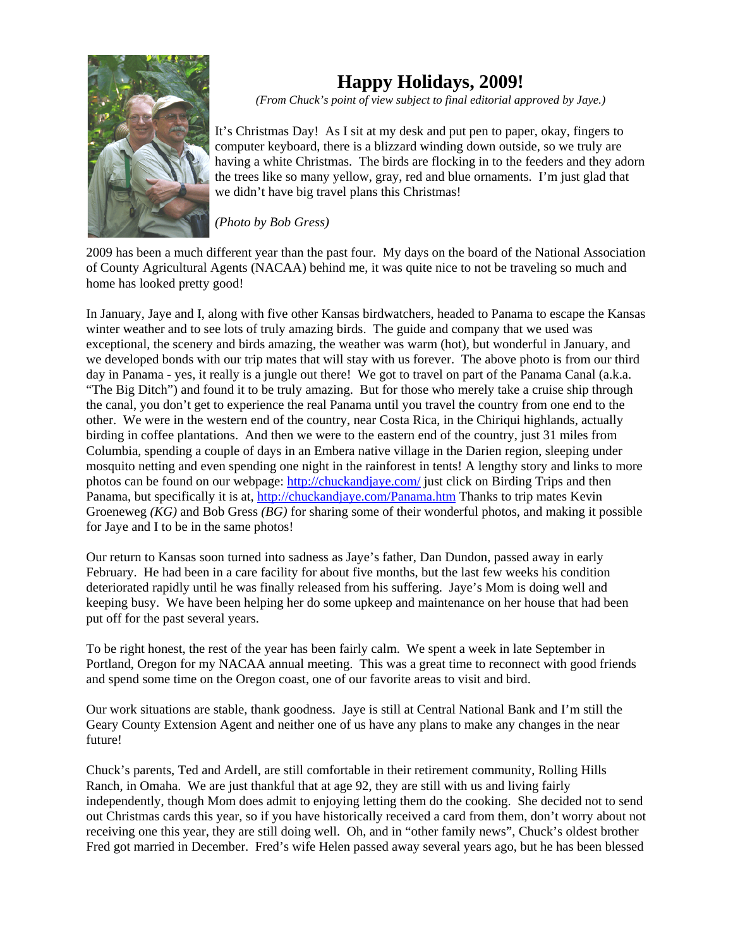

## **Happy Holidays, 2009!**

*(From Chuck's point of view subject to final editorial approved by Jaye.)*

It's Christmas Day! As I sit at my desk and put pen to paper, okay, fingers to computer keyboard, there is a blizzard winding down outside, so we truly are having a white Christmas. The birds are flocking in to the feeders and they adorn the trees like so many yellow, gray, red and blue ornaments. I'm just glad that we didn't have big travel plans this Christmas!

*(Photo by Bob Gress)*

2009 has been a much different year than the past four. My days on the board of the National Association of County Agricultural Agents (NACAA) behind me, it was quite nice to not be traveling so much and home has looked pretty good!

In January, Jaye and I, along with five other Kansas birdwatchers, headed to Panama to escape the Kansas winter weather and to see lots of truly amazing birds. The guide and company that we used was exceptional, the scenery and birds amazing, the weather was warm (hot), but wonderful in January, and we developed bonds with our trip mates that will stay with us forever. The above photo is from our third day in Panama - yes, it really is a jungle out there! We got to travel on part of the Panama Canal (a.k.a. "The Big Ditch") and found it to be truly amazing. But for those who merely take a cruise ship through the canal, you don't get to experience the real Panama until you travel the country from one end to the other. We were in the western end of the country, near Costa Rica, in the Chiriqui highlands, actually birding in coffee plantations. And then we were to the eastern end of the country, just 31 miles from Columbia, spending a couple of days in an Embera native village in the Darien region, sleeping under mosquito netting and even spending one night in the rainforest in tents! A lengthy story and links to more photos can be found on our webpage: http://chuckandjaye.com/ just click on Birding Trips and then Panama, but specifically it is at, http://chuckandjaye.com/Panama.htm Thanks to trip mates Kevin Groeneweg *(KG)* and Bob Gress *(BG)* for sharing some of their wonderful photos, and making it possible for Jaye and I to be in the same photos!

Our return to Kansas soon turned into sadness as Jaye's father, Dan Dundon, passed away in early February. He had been in a care facility for about five months, but the last few weeks his condition deteriorated rapidly until he was finally released from his suffering. Jaye's Mom is doing well and keeping busy. We have been helping her do some upkeep and maintenance on her house that had been put off for the past several years.

To be right honest, the rest of the year has been fairly calm. We spent a week in late September in Portland, Oregon for my NACAA annual meeting. This was a great time to reconnect with good friends and spend some time on the Oregon coast, one of our favorite areas to visit and bird.

Our work situations are stable, thank goodness. Jaye is still at Central National Bank and I'm still the Geary County Extension Agent and neither one of us have any plans to make any changes in the near future!

Chuck's parents, Ted and Ardell, are still comfortable in their retirement community, Rolling Hills Ranch, in Omaha. We are just thankful that at age 92, they are still with us and living fairly independently, though Mom does admit to enjoying letting them do the cooking. She decided not to send out Christmas cards this year, so if you have historically received a card from them, don't worry about not receiving one this year, they are still doing well. Oh, and in "other family news", Chuck's oldest brother Fred got married in December. Fred's wife Helen passed away several years ago, but he has been blessed